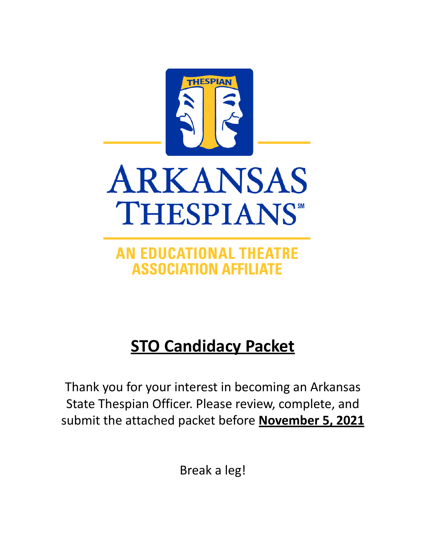

AN EDUCATIONAL THEATRE **ASSOCIATION AFFILIATE** 

# **STO Candidacy Packet**

Thank you for your interest in becoming an Arkansas State Thespian Officer. Please review, complete, and submit the attached packet before **November 5, 2021**

Break a leg!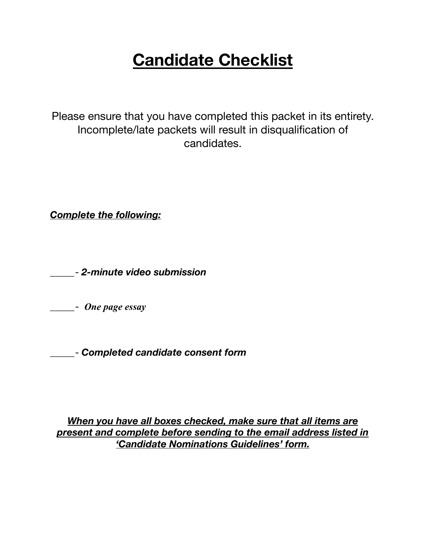# **Candidate Checklist**

Please ensure that you have completed this packet in its entirety. Incomplete/late packets will result in disqualification of candidates.

*Complete the following:*

\_\_\_\_\_- *2-minute video submission*

\_\_\_\_\_- *One page essay*

\_\_\_\_\_- *Completed candidate consent form*

*When you have all boxes checked, make sure that all items are present and complete before sending to the email address listed in 'Candidate Nominations Guidelines' form.*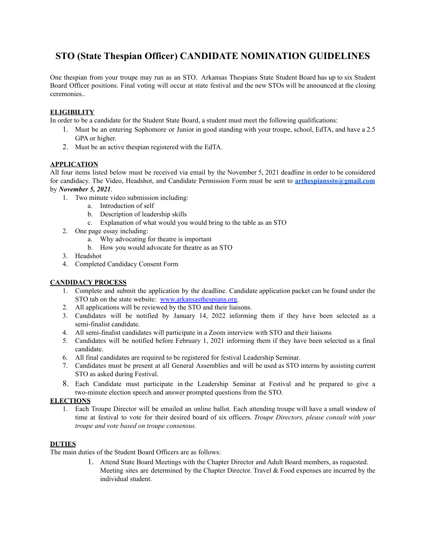# **STO (State Thespian Officer) CANDIDATE NOMINATION GUIDELINES**

One thespian from your troupe may run as an STO. Arkansas Thespians State Student Board has up to six Student Board Officer positions. Final voting will occur at state festival and the new STOs will be announced at the closing ceremonies..

## **ELIGIBILITY**

In order to be a candidate for the Student State Board, a student must meet the following qualifications:

- 1. Must be an entering Sophomore or Junior in good standing with your troupe, school, EdTA, and have a 2.5 GPA or higher.
- 2. Must be an active thespian registered with the EdTA.

#### **APPLICATION**

All four items listed below must be received via email by the November 5, 2021 deadline in order to be considered for candidacy. The Video, Headshot, and Candidate Permission Form must be sent to **[arthespianssto@gmail.com](mailto:arthespianssto@gmail.com)** by *November 5, 2021*.

- 1. Two minute video submission including:
	- a. Introduction of self
	- b. Description of leadership skills
	- c. Explanation of what would you would bring to the table as an STO
- 2. One page essay including:
	- a. Why advocating for theatre is important
	- b. How you would advocate for theatre as an STO
- 3. Headshot
- 4. Completed Candidacy Consent Form

### **CANDIDACY PROCESS**

- 1. Complete and submit the application by the deadline. Candidate application packet can be found under the STO tab on the state website: [www.arkansasthespians.org](http://www.arkansasthespians.org).
- 2. All applications will be reviewed by the STO and their liaisons.
- 3. Candidates will be notified by January 14, 2022 informing them if they have been selected as a semi-finalist candidate.
- 4. All semi-finalist candidates will participate in a Zoom interview with STO and their liaisons
- 5. Candidates will be notified before February 1, 2021 informing them if they have been selected as a final candidate.
- 6. All final candidates are required to be registered for festival Leadership Seminar.
- 7. Candidates must be present at all General Assemblies and will be used as STO interns by assisting current STO as asked during Festival.
- 8. Each Candidate must participate in the Leadership Seminar at Festival and be prepared to give a two-minute election speech and answer prompted questions from the STO.

## **ELECTIONS**

1. Each Troupe Director will be emailed an online ballot. Each attending troupe will have a small window of time at festival to vote for their desired board of six officers. *Troupe Directors, please consult with your troupe and vote based on troupe consensus.*

### **DUTIES**

The main duties of the Student Board Officers are as follows:

1. Attend State Board Meetings with the Chapter Director and Adult Board members, as requested. Meeting sites are determined by the Chapter Director. Travel  $\&$  Food expenses are incurred by the individual student.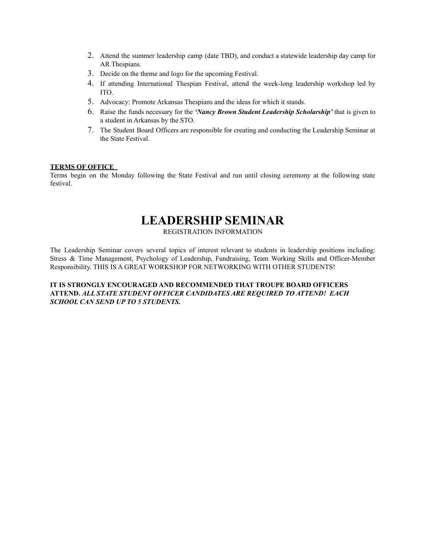- 2. Attend the summer leadership camp (date TBD), and conduct a statewide leadership day camp for AR Thespians.
- 3. Decide on the theme and logo for the upcoming Festival.
- 4. If attending International Thespian Festival, attend the week-long leadership workshop led by ITO.
- 5. Advocacy: Promote Arkansas Thespians and the ideas for which it stands.
- 6. Raise the funds necessary for the *'Nancy Brown Student Leadership Scholarship'* that is given to a student in Arkansas by the STO.
- 7. The Student Board Officers are responsible for creating and conducting the Leadership Seminar at the State Festival.

#### **TERMS OF OFFICE**

Terms begin on the Monday following the State Festival and run until closing ceremony at the following state festival.

# **LEADERSHIP SEMINAR**

REGISTRATION INFORMATION

The Leadership Seminar covers several topics of interest relevant to students in leadership positions including: Stress & Time Management, Psychology of Leadership, Fundraising, Team Working Skills and Officer-Member Responsibility. THIS IS A GREAT WORKSHOP FOR NETWORKING WITH OTHER STUDENTS!

#### **IT IS STRONGLY ENCOURAGED AND RECOMMENDED THAT TROUPE BOARD OFFICERS ATTEND.** *ALL STATE STUDENT OFFICER CANDIDATES ARE REQUIRED TO ATTEND! EACH SCHOOL CAN SEND UP TO 5 STUDENTS.*